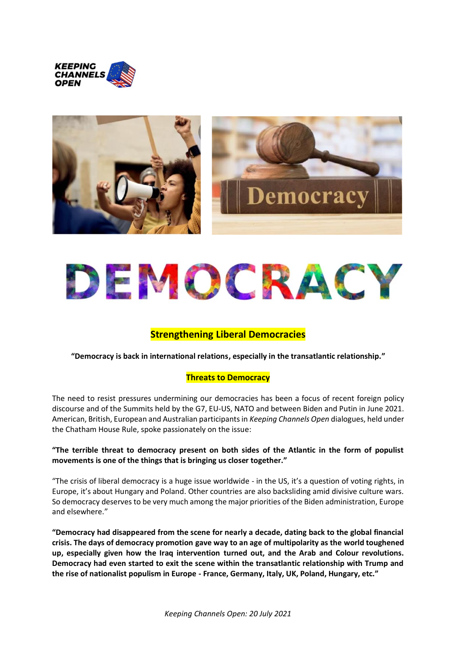



# DEMOCRACY

# **Strengthening Liberal Democracies**

**"Democracy is back in international relations, especially in the transatlantic relationship."**

# **Threats to Democracy**

The need to resist pressures undermining our democracies has been a focus of recent foreign policy discourse and of the Summits held by the G7, EU-US, NATO and between Biden and Putin in June 2021. American, British, European and Australian participants in *Keeping Channels Open* dialogues, held under the Chatham House Rule, spoke passionately on the issue:

# **"The terrible threat to democracy present on both sides of the Atlantic in the form of populist movements is one of the things that is bringing us closer together."**

"The crisis of liberal democracy is a huge issue worldwide - in the US, it's a question of voting rights, in Europe, it's about Hungary and Poland. Other countries are also backsliding amid divisive culture wars. So democracy deserves to be very much among the major priorities of the Biden administration, Europe and elsewhere."

**"Democracy had disappeared from the scene for nearly a decade, dating back to the global financial crisis. The days of democracy promotion gave way to an age of multipolarity as the world toughened up, especially given how the Iraq intervention turned out, and the Arab and Colour revolutions. Democracy had even started to exit the scene within the transatlantic relationship with Trump and the rise of nationalist populism in Europe - France, Germany, Italy, UK, Poland, Hungary, etc."**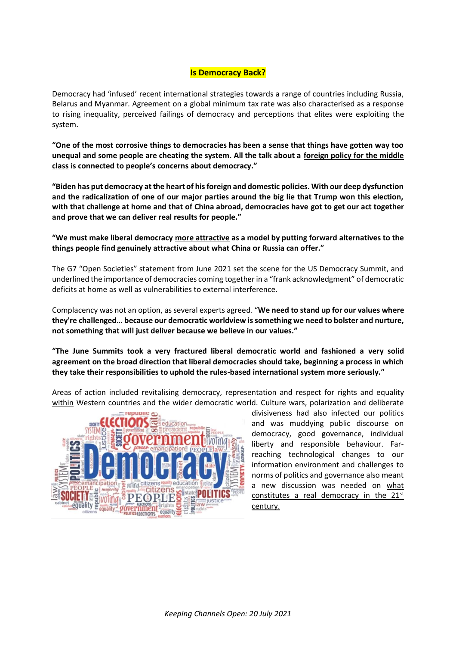#### **Is Democracy Back?**

Democracy had 'infused' recent international strategies towards a range of countries including Russia, Belarus and Myanmar. Agreement on a global minimum tax rate was also characterised as a response to rising inequality, perceived failings of democracy and perceptions that elites were exploiting the system.

**"One of the most corrosive things to democracies has been a sense that things have gotten way too unequal and some people are cheating the system. All the talk about a foreign policy for the middle class is connected to people's concerns about democracy."**

**"Biden has put democracy at the heart of his foreign and domestic policies. With our deep dysfunction and the radicalization of one of our major parties around the big lie that Trump won this election, with that challenge at home and that of China abroad, democracies have got to get our act together and prove that we can deliver real results for people."**

**"We must make liberal democracy more attractive as a model by putting forward alternatives to the things people find genuinely attractive about what China or Russia can offer."**

The G7 "Open Societies" statement from June 2021 set the scene for the US Democracy Summit, and underlined the importance of democracies coming together in a "frank acknowledgment" of democratic deficits at home as well as vulnerabilities to external interference.

Complacency was not an option, as several experts agreed. "**We need to stand up for our values where they're challenged… because our democratic worldview is something we need to bolster and nurture, not something that will just deliver because we believe in our values."** 

**"The June Summits took a very fractured liberal democratic world and fashioned a very solid agreement on the broad direction that liberal democracies should take, beginning a process in which they take their responsibilities to uphold the rules-based international system more seriously."**

Areas of action included revitalising democracy, representation and respect for rights and equality within Western countries and the wider democratic world. Culture wars, polarization and deliberate



divisiveness had also infected our politics and was muddying public discourse on democracy, good governance, individual liberty and responsible behaviour. Farreaching technological changes to our information environment and challenges to norms of politics and governance also meant a new discussion was needed on what constitutes a real democracy in the 21<sup>st</sup> century.